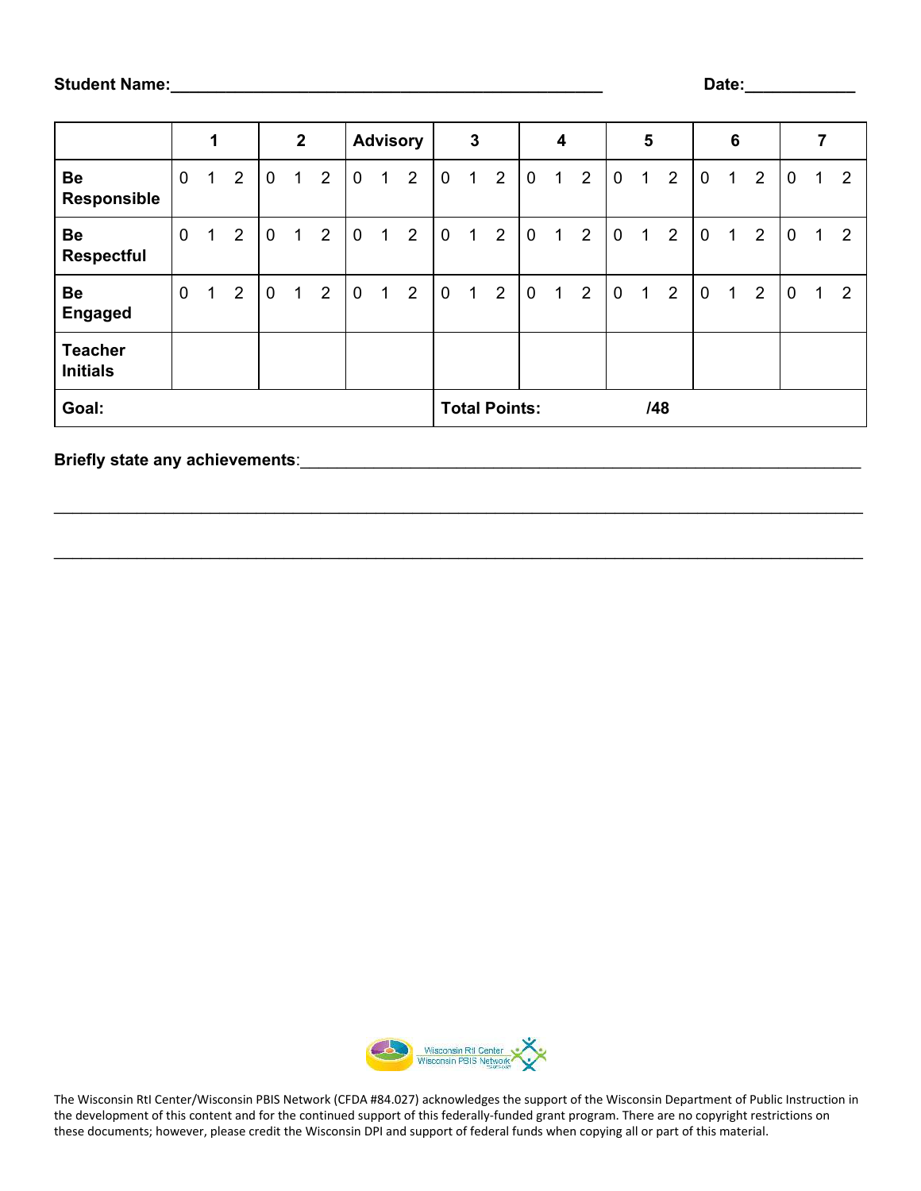|                                   | 1           |   |                | $\mathbf{2}$ |   |                | <b>Advisory</b> |   | $\mathbf{3}$   |             | 4                           |                |             | 5 |                |             | 6 |                |             |             |                |             |             |                |
|-----------------------------------|-------------|---|----------------|--------------|---|----------------|-----------------|---|----------------|-------------|-----------------------------|----------------|-------------|---|----------------|-------------|---|----------------|-------------|-------------|----------------|-------------|-------------|----------------|
| Be<br>Responsible                 | $\mathbf 0$ | 1 | $\overline{2}$ | $\mathbf 0$  | 1 | 2              | 0               | 1 | $\overline{2}$ | $\mathbf 0$ | $\mathbf{1}$                | $\overline{2}$ | 0           | 1 | $\overline{2}$ | $\mathbf 0$ | 1 | $\overline{2}$ | $\mathbf 0$ | $\mathbf 1$ | 2              | 0           | $\mathbf 1$ | $\overline{2}$ |
| Be<br><b>Respectful</b>           | $\mathbf 0$ | 1 | $\overline{2}$ | $\mathbf 0$  | 1 | 2              | $\mathbf 0$     | 1 | $\overline{2}$ | $\mathbf 0$ | 1                           | $\overline{2}$ | $\mathbf 0$ | 1 | $\overline{2}$ | $\mathbf 0$ | 1 | $\overline{2}$ | $\mathbf 0$ | 1           | $\overline{2}$ | $\mathbf 0$ | 1           | $\overline{2}$ |
| Be<br><b>Engaged</b>              | $\mathbf 0$ | 1 | 2              | $\mathbf 0$  | 1 | $\overline{2}$ | $\mathbf 0$     | 1 | $\overline{2}$ | 0           | 1                           | $\overline{2}$ | $\mathbf 0$ | 1 | $\overline{2}$ | $\mathbf 0$ | 1 | $\overline{2}$ | $\mathbf 0$ | 1           | $\overline{2}$ | $\mathbf 0$ | 1.          | 2              |
| <b>Teacher</b><br><b>Initials</b> |             |   |                |              |   |                |                 |   |                |             |                             |                |             |   |                |             |   |                |             |             |                |             |             |                |
| Goal:                             |             |   |                |              |   |                |                 |   |                |             | <b>Total Points:</b><br>/48 |                |             |   |                |             |   |                |             |             |                |             |             |                |

\_\_\_\_\_\_\_\_\_\_\_\_\_\_\_\_\_\_\_\_\_\_\_\_\_\_\_\_\_\_\_\_\_\_\_\_\_\_\_\_\_\_\_\_\_\_\_\_\_\_\_\_\_\_\_\_\_\_\_\_\_\_\_\_\_\_\_\_\_\_\_\_\_\_\_\_\_\_\_\_\_\_\_\_\_\_\_\_

\_\_\_\_\_\_\_\_\_\_\_\_\_\_\_\_\_\_\_\_\_\_\_\_\_\_\_\_\_\_\_\_\_\_\_\_\_\_\_\_\_\_\_\_\_\_\_\_\_\_\_\_\_\_\_\_\_\_\_\_\_\_\_\_\_\_\_\_\_\_\_\_\_\_\_\_\_\_\_\_\_\_\_\_\_\_\_\_

## **Briefly state any achievements**:\_\_\_\_\_\_\_\_\_\_\_\_\_\_\_\_\_\_\_\_\_\_\_\_\_\_\_\_\_\_\_\_\_\_\_\_\_\_\_\_\_\_\_\_\_\_\_\_\_\_\_\_\_\_\_\_\_\_\_\_\_



The Wisconsin RtI Center/Wisconsin PBIS Network (CFDA #84.027) acknowledges the support of the Wisconsin Department of Public Instruction in the development of this content and for the continued support of this federally-funded grant program. There are no copyright restrictions on these documents; however, please credit the Wisconsin DPI and support of federal funds when copying all or part of this material.